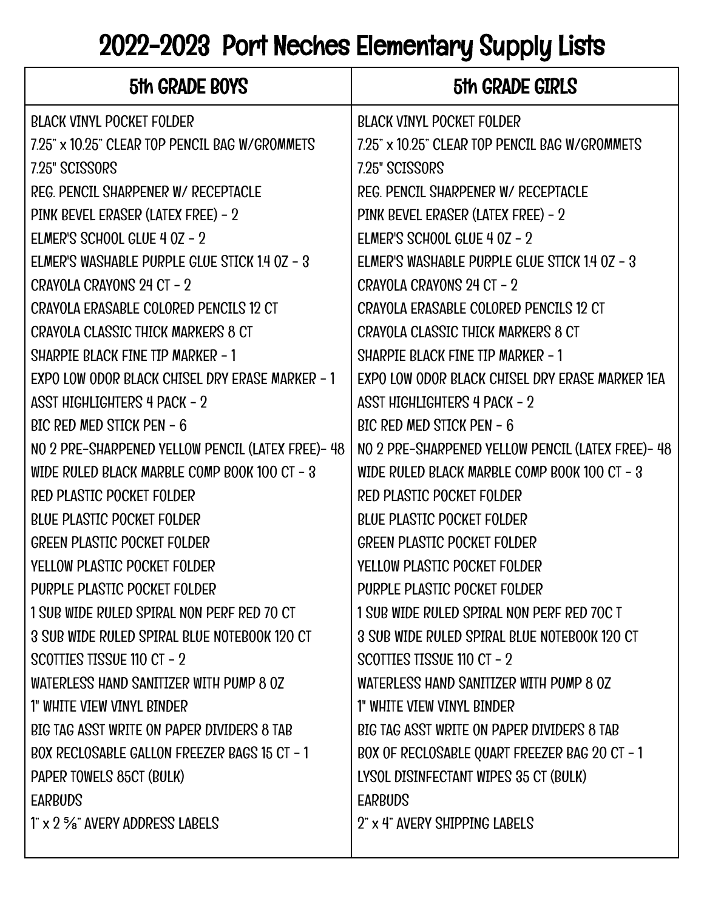## 2022-2023 Port Neches Elementary Supply Lists

| 5th GRADE BOYS                                    | 5th GRADE GIRLS                                   |
|---------------------------------------------------|---------------------------------------------------|
| <b>BLACK VINYL POCKET FOLDER</b>                  | <b>BLACK VINYL POCKET FOLDER</b>                  |
| 7.25" x 10.25" CLEAR TOP PENCIL BAG W/GROMMETS    | 7.25" x 10.25" CLEAR TOP PENCIL BAG W/GROMMETS    |
| 7.25" SCISSORS                                    | 7.25" SCISSORS                                    |
| REG. PENCIL SHARPENER W/ RECEPTACLE               | REG. PENCIL SHARPENER W/ RECEPTACLE               |
| PINK BEVEL ERASER (LATEX FREE) - 2                | PINK BEVEL ERASER (LATEX FREE) - 2                |
| ELMER'S SCHOOL GLUE 4 0Z - 2                      | ELMER'S SCHOOL GLUE 4 0Z - 2                      |
| ELMER'S WASHABLE PURPLE GLUE STICK 1.4 OZ - 3     | ELMER'S WASHABLE PURPLE GLUE STICK 1.4 OZ - 3     |
| CRAYOLA CRAYONS 24 CT - 2                         | CRAYOLA CRAYONS 24 CT - 2                         |
| CRAYOLA ERASABLE COLORED PENCILS 12 CT            | CRAYOLA ERASABLE COLORED PENCILS 12 CT            |
| <b>CRAYOLA CLASSIC THICK MARKERS 8 CT</b>         | CRAYOLA CLASSIC THICK MARKERS 8 CT                |
| SHARPIE BLACK FINE TIP MARKER - 1                 | SHARPIE BLACK FINE TIP MARKER - 1                 |
| EXPO LOW ODOR BLACK CHISEL DRY ERASE MARKER - 1   | EXPO LOW ODOR BLACK CHISEL DRY ERASE MARKER 1EA   |
| <b>ASST HIGHLIGHTERS 4 PACK - 2</b>               | <b>ASST HIGHLIGHTERS 4 PACK - 2</b>               |
| <b>BIC RED MED STICK PEN - 6</b>                  | BIC RED MED STICK PEN - 6                         |
| NO 2 PRE-SHARPENED YELLOW PENCIL (LATEX FREE)- 48 | NO 2 PRE-SHARPENED YELLOW PENCIL (LATEX FREE)- 48 |
| WIDE RULED BLACK MARBLE COMP BOOK 100 CT - 3      | WIDE RULED BLACK MARBLE COMP BOOK 100 CT - 3      |
| <b>RED PLASTIC POCKET FOLDER</b>                  | <b>RED PLASTIC POCKET FOLDER</b>                  |
| <b>BLUE PLASTIC POCKET FOLDER</b>                 | <b>BLUE PLASTIC POCKET FOLDER</b>                 |
| <b>GREEN PLASTIC POCKET FOLDER</b>                | <b>GREEN PLASTIC POCKET FOLDER</b>                |
| YELLOW PLASTIC POCKET FOLDER                      | YELLOW PLASTIC POCKET FOLDER                      |
| PURPLE PLASTIC POCKET FOLDER                      | PURPLE PLASTIC POCKET FOLDER                      |
| 1 SUB WIDE RULED SPIRAL NON PERF RED 70 CT        | 1 SUB WIDE RULED SPIRAL NON PERF RED 70C T        |
| 3 SUB WIDE RULED SPIRAL BLUE NOTEBOOK 120 CT      | 3 SUB WIDE RULED SPIRAL BLUE NOTEBOOK 120 CT      |
| SCOTTIES TISSUE 110 CT - 2                        | SCOTTLES TISSUE 110 CT - 2                        |
| WATERLESS HAND SANITIZER WITH PUMP 8 0Z           | WATERLESS HAND SANITIZER WITH PUMP 8 0Z           |
| 1" WHITE VIEW VINYL BINDER                        | 1" WHITE VIEW VINYL BINDER                        |
| BIG TAG ASST WRITE ON PAPER DIVIDERS 8 TAB        | BIG TAG ASST WRITE ON PAPER DIVIDERS 8 TAB        |
| BOX RECLOSABLE GALLON FREEZER BAGS 15 CT - 1      | BOX OF RECLOSABLE QUART FREEZER BAG 20 CT - 1     |
| PAPER TOWELS 85CT (BULK)                          | LYSOL DISINFECTANT WIPES 35 CT (BULK)             |
| <b>EARBUDS</b>                                    | <b>EARBUDS</b>                                    |
| 1" x 2 %" AVERY ADDRESS LABELS                    | 2" x 4" AVERY SHIPPING LABELS                     |
|                                                   |                                                   |